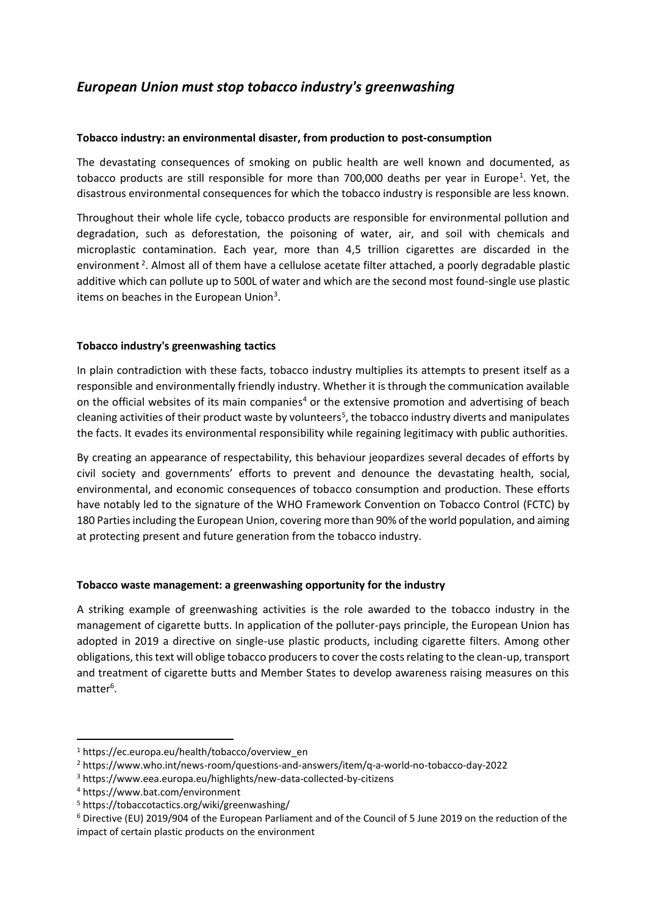# *European Union must stop tobacco industry's greenwashing*

### **Tobacco industry: an environmental disaster, from production to post-consumption**

The devastating consequences of smoking on public health are well known and documented, as tobacco products are still responsible for more than 700,000 deaths per year in Europe<sup>1</sup>. Yet, the disastrous environmental consequences for which the tobacco industry is responsible are less known.

Throughout their whole life cycle, tobacco products are responsible for environmental pollution and degradation, such as deforestation, the poisoning of water, air, and soil with chemicals and microplastic contamination. Each year, more than 4,5 trillion cigarettes are discarded in the environment<sup>2</sup>. Almost all of them have a cellulose acetate filter attached, a poorly degradable plastic additive which can pollute up to 500L of water and which are the second most found-single use plastic items on beaches in the European Union<sup>3</sup>.

#### **Tobacco industry's greenwashing tactics**

In plain contradiction with these facts, tobacco industry multiplies its attempts to present itself as a responsible and environmentally friendly industry. Whether it is through the communication available on the official websites of its main companies<sup>4</sup> or the extensive promotion and advertising of beach cleaning activities of their product waste by volunteers<sup>5</sup>, the tobacco industry diverts and manipulates the facts. It evades its environmental responsibility while regaining legitimacy with public authorities.

By creating an appearance of respectability, this behaviour jeopardizes several decades of efforts by civil society and governments' efforts to prevent and denounce the devastating health, social, environmental, and economic consequences of tobacco consumption and production. These efforts have notably led to the signature of the WHO Framework Convention on Tobacco Control (FCTC) by 180 Parties including the European Union, covering more than 90% of the world population, and aiming at protecting present and future generation from the tobacco industry.

# **Tobacco waste management: a greenwashing opportunity for the industry**

A striking example of greenwashing activities is the role awarded to the tobacco industry in the management of cigarette butts. In application of the polluter-pays principle, the European Union has adopted in 2019 a directive on single-use plastic products, including cigarette filters. Among other obligations, this text will oblige tobacco producers to cover the costs relating to the clean-up, transport and treatment of cigarette butts and Member States to develop awareness raising measures on this matter<sup>6</sup>.

<sup>1</sup> https://ec.europa.eu/health/tobacco/overview\_en

<sup>2</sup> https://www.who.int/news-room/questions-and-answers/item/q-a-world-no-tobacco-day-2022

<sup>3</sup> https://www.eea.europa.eu/highlights/new-data-collected-by-citizens

<sup>4</sup> https://www.bat.com/environment

<sup>5</sup> https://tobaccotactics.org/wiki/greenwashing/

<sup>6</sup> Directive (EU) 2019/904 of the European Parliament and of the Council of 5 June 2019 on the reduction of the impact of certain plastic products on the environment